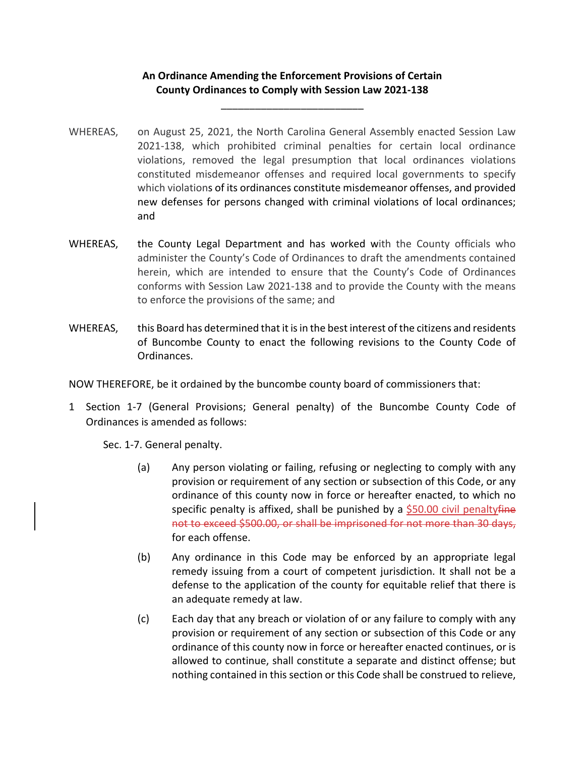## **An Ordinance Amending the Enforcement Provisions of Certain County Ordinances to Comply with Session Law 2021‐138**

\_\_\_\_\_\_\_\_\_\_\_\_\_\_\_\_\_\_\_\_\_\_\_\_\_

- WHEREAS, on August 25, 2021, the North Carolina General Assembly enacted Session Law 2021‐138, which prohibited criminal penalties for certain local ordinance violations, removed the legal presumption that local ordinances violations constituted misdemeanor offenses and required local governments to specify which violations of its ordinances constitute misdemeanor offenses, and provided new defenses for persons changed with criminal violations of local ordinances; and
- WHEREAS, the County Legal Department and has worked with the County officials who administer the County's Code of Ordinances to draft the amendments contained herein, which are intended to ensure that the County's Code of Ordinances conforms with Session Law 2021‐138 and to provide the County with the means to enforce the provisions of the same; and
- WHEREAS, this Board has determined that it is in the best interest of the citizens and residents of Buncombe County to enact the following revisions to the County Code of Ordinances.

NOW THEREFORE, be it ordained by the buncombe county board of commissioners that:

1 Section 1‐7 (General Provisions; General penalty) of the Buncombe County Code of Ordinances is amended as follows:

Sec. 1‐7. General penalty.

- (a) Any person violating or failing, refusing or neglecting to comply with any provision or requirement of any section or subsection of this Code, or any ordinance of this county now in force or hereafter enacted, to which no specific penalty is affixed, shall be punished by a  $$50.00$  civil penalty fine not to exceed \$500.00, or shall be imprisoned for not more than 30 days, for each offense.
- (b) Any ordinance in this Code may be enforced by an appropriate legal remedy issuing from a court of competent jurisdiction. It shall not be a defense to the application of the county for equitable relief that there is an adequate remedy at law.
- (c) Each day that any breach or violation of or any failure to comply with any provision or requirement of any section or subsection of this Code or any ordinance of this county now in force or hereafter enacted continues, or is allowed to continue, shall constitute a separate and distinct offense; but nothing contained in this section or this Code shall be construed to relieve,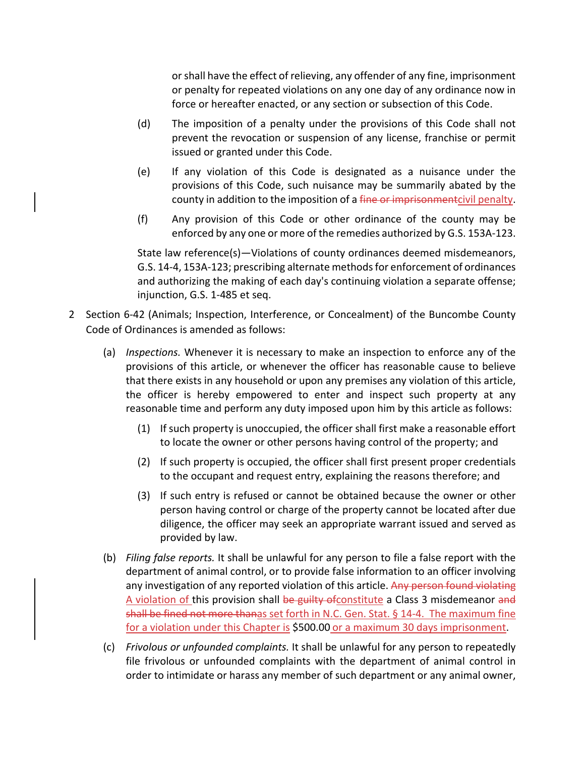orshall have the effect of relieving, any offender of any fine, imprisonment or penalty for repeated violations on any one day of any ordinance now in force or hereafter enacted, or any section or subsection of this Code.

- (d) The imposition of a penalty under the provisions of this Code shall not prevent the revocation or suspension of any license, franchise or permit issued or granted under this Code.
- (e) If any violation of this Code is designated as a nuisance under the provisions of this Code, such nuisance may be summarily abated by the county in addition to the imposition of a fine or imprisonmentcivil penalty.
- (f) Any provision of this Code or other ordinance of the county may be enforced by any one or more of the remedies authorized by G.S. 153A‐123.

State law reference(s)—Violations of county ordinances deemed misdemeanors, G.S. 14‐4, 153A‐123; prescribing alternate methodsfor enforcement of ordinances and authorizing the making of each day's continuing violation a separate offense; injunction, G.S. 1‐485 et seq.

- 2 Section 6‐42 (Animals; Inspection, Interference, or Concealment) of the Buncombe County Code of Ordinances is amended as follows:
	- (a) *Inspections.* Whenever it is necessary to make an inspection to enforce any of the provisions of this article, or whenever the officer has reasonable cause to believe that there exists in any household or upon any premises any violation of this article, the officer is hereby empowered to enter and inspect such property at any reasonable time and perform any duty imposed upon him by this article as follows:
		- (1) If such property is unoccupied, the officer shall first make a reasonable effort to locate the owner or other persons having control of the property; and
		- (2) If such property is occupied, the officer shall first present proper credentials to the occupant and request entry, explaining the reasons therefore; and
		- (3) If such entry is refused or cannot be obtained because the owner or other person having control or charge of the property cannot be located after due diligence, the officer may seek an appropriate warrant issued and served as provided by law.
	- (b) *Filing false reports.* It shall be unlawful for any person to file a false report with the department of animal control, or to provide false information to an officer involving any investigation of any reported violation of this article. Any person found violating A violation of this provision shall be guilty of constitute a Class 3 misdemeanor and shall be fined not more thanas set forth in N.C. Gen. Stat. § 14‐4. The maximum fine for a violation under this Chapter is \$500.00 or a maximum 30 days imprisonment.
	- (c) *Frivolous or unfounded complaints.* It shall be unlawful for any person to repeatedly file frivolous or unfounded complaints with the department of animal control in order to intimidate or harass any member of such department or any animal owner,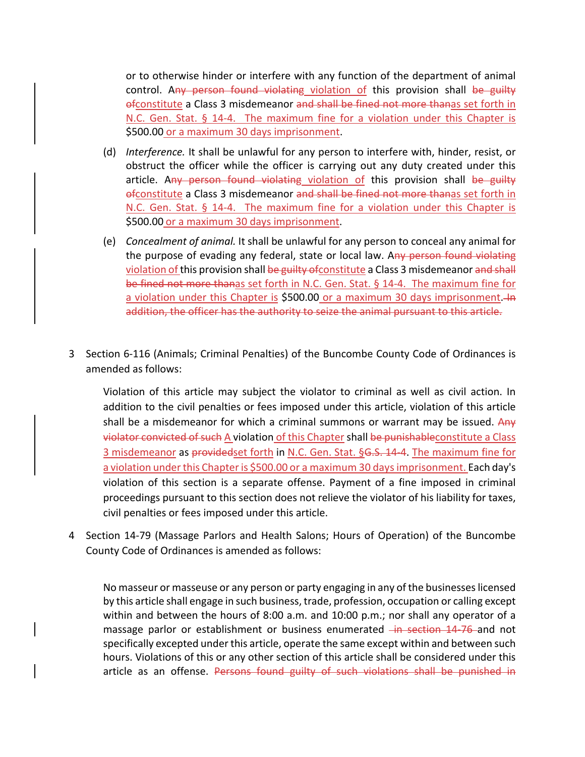or to otherwise hinder or interfere with any function of the department of animal control. Any person found violating violation of this provision shall be guilty ofconstitute a Class 3 misdemeanor and shall be fined not more thanas set forth in N.C. Gen. Stat. § 14-4. The maximum fine for a violation under this Chapter is \$500.00 or a maximum 30 days imprisonment.

- (d) *Interference.* It shall be unlawful for any person to interfere with, hinder, resist, or obstruct the officer while the officer is carrying out any duty created under this article. Any person found violating violation of this provision shall be guilty ofconstitute a Class 3 misdemeanor and shall be fined not more thanas set forth in N.C. Gen. Stat. § 14-4. The maximum fine for a violation under this Chapter is \$500.00 or a maximum 30 days imprisonment.
- (e) *Concealment of animal.* It shall be unlawful for any person to conceal any animal for the purpose of evading any federal, state or local law. Any person found violating violation of this provision shall be guilty of constitute a Class 3 misdemeanor and shall be fined not more thanas set forth in N.C. Gen. Stat. § 14‐4. The maximum fine for a violation under this Chapter is \$500.00 or a maximum 30 days imprisonment. In addition, the officer has the authority to seize the animal pursuant to this article.
- 3 Section 6‐116 (Animals; Criminal Penalties) of the Buncombe County Code of Ordinances is amended as follows:

Violation of this article may subject the violator to criminal as well as civil action. In addition to the civil penalties or fees imposed under this article, violation of this article shall be a misdemeanor for which a criminal summons or warrant may be issued. Any violator convicted of such A violation of this Chapter shall be punishableconstitute a Class 3 misdemeanor as providedset forth in N.C. Gen. Stat. §G.S. 14-4. The maximum fine for a violation under this Chapter is \$500.00 or a maximum 30 days imprisonment. Each day's violation of this section is a separate offense. Payment of a fine imposed in criminal proceedings pursuant to this section does not relieve the violator of his liability for taxes, civil penalties or fees imposed under this article.

4 Section 14‐79 (Massage Parlors and Health Salons; Hours of Operation) of the Buncombe County Code of Ordinances is amended as follows:

No masseur or masseuse or any person or party engaging in any of the businesseslicensed by this article shall engage in such business, trade, profession, occupation or calling except within and between the hours of 8:00 a.m. and 10:00 p.m.; nor shall any operator of a massage parlor or establishment or business enumerated in section 14–76 and not specifically excepted under this article, operate the same except within and between such hours. Violations of this or any other section of this article shall be considered under this article as an offense. Persons found guilty of such violations shall be punished in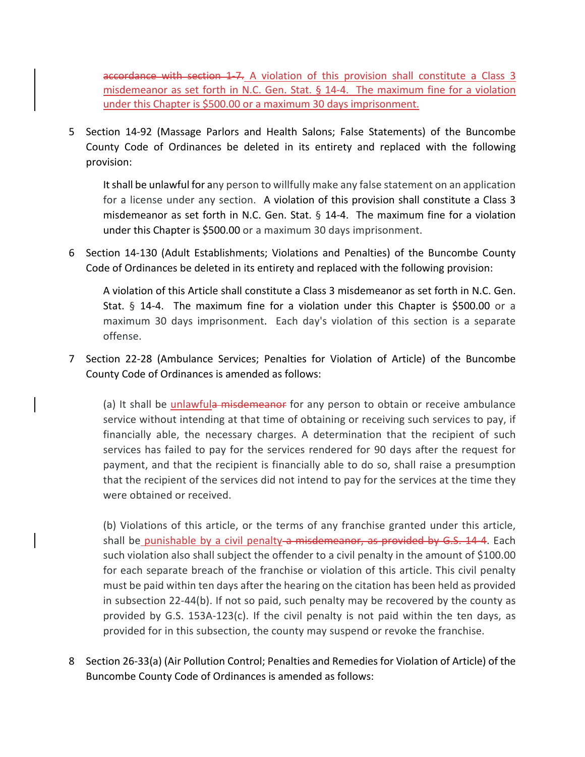accordance with section 1-7. A violation of this provision shall constitute a Class 3 misdemeanor as set forth in N.C. Gen. Stat. § 14‐4. The maximum fine for a violation under this Chapter is \$500.00 or a maximum 30 days imprisonment.

5 Section 14‐92 (Massage Parlors and Health Salons; False Statements) of the Buncombe County Code of Ordinances be deleted in its entirety and replaced with the following provision:

Itshall be unlawful for any person to willfully make any false statement on an application for a license under any section. A violation of this provision shall constitute a Class 3 misdemeanor as set forth in N.C. Gen. Stat. § 14‐4. The maximum fine for a violation under this Chapter is \$500.00 or a maximum 30 days imprisonment.

6 Section 14‐130 (Adult Establishments; Violations and Penalties) of the Buncombe County Code of Ordinances be deleted in its entirety and replaced with the following provision:

A violation of this Article shall constitute a Class 3 misdemeanor as set forth in N.C. Gen. Stat. § 14-4. The maximum fine for a violation under this Chapter is \$500.00 or a maximum 30 days imprisonment. Each day's violation of this section is a separate offense.

7 Section 22‐28 (Ambulance Services; Penalties for Violation of Article) of the Buncombe County Code of Ordinances is amended as follows:

(a) It shall be unlawfula misdemeanor for any person to obtain or receive ambulance service without intending at that time of obtaining or receiving such services to pay, if financially able, the necessary charges. A determination that the recipient of such services has failed to pay for the services rendered for 90 days after the request for payment, and that the recipient is financially able to do so, shall raise a presumption that the recipient of the services did not intend to pay for the services at the time they were obtained or received.

(b) Violations of this article, or the terms of any franchise granted under this article, shall be punishable by a civil penalty-a misdemeanor, as provided by G.S. 14-4. Each such violation also shall subject the offender to a civil penalty in the amount of \$100.00 for each separate breach of the franchise or violation of this article. This civil penalty must be paid within ten days after the hearing on the citation has been held as provided in subsection 22‐44(b). If not so paid, such penalty may be recovered by the county as provided by G.S. 153A‐123(c). If the civil penalty is not paid within the ten days, as provided for in this subsection, the county may suspend or revoke the franchise.

8 Section 26-33(a) (Air Pollution Control; Penalties and Remedies for Violation of Article) of the Buncombe County Code of Ordinances is amended as follows: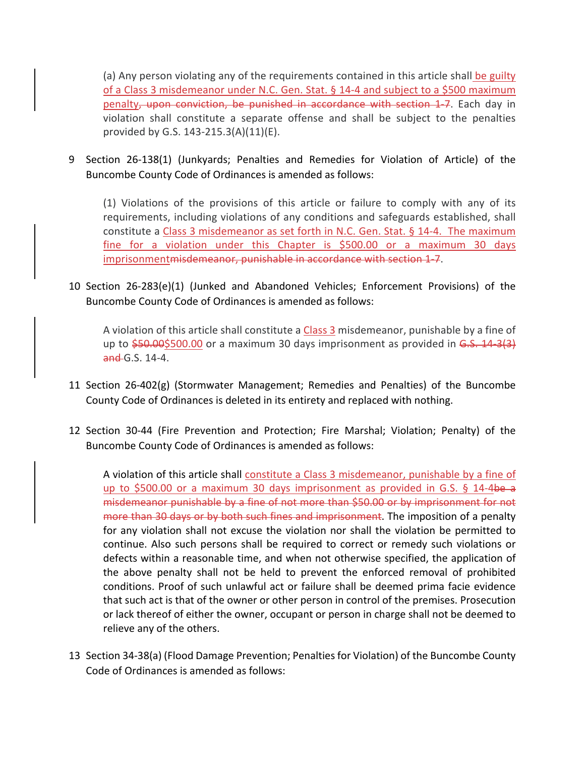(a) Any person violating any of the requirements contained in this article shall be guilty of a Class 3 misdemeanor under N.C. Gen. Stat. § 14‐4 and subject to a \$500 maximum penalty, upon conviction, be punished in accordance with section 1-7. Each day in violation shall constitute a separate offense and shall be subject to the penalties provided by G.S. 143‐215.3(A)(11)(E).

9 Section 26‐138(1) (Junkyards; Penalties and Remedies for Violation of Article) of the Buncombe County Code of Ordinances is amended as follows:

(1) Violations of the provisions of this article or failure to comply with any of its requirements, including violations of any conditions and safeguards established, shall constitute a Class 3 misdemeanor as set forth in N.C. Gen. Stat. § 14‐4. The maximum fine for a violation under this Chapter is \$500.00 or a maximum 30 days imprisonment<del>misdemeanor, punishable in accordance with section 1-7</del>.

10 Section 26‐283(e)(1) (Junked and Abandoned Vehicles; Enforcement Provisions) of the Buncombe County Code of Ordinances is amended as follows:

A violation of this article shall constitute a Class 3 misdemeanor, punishable by a fine of up to  $\frac{250.005500.00}{500}$  or a maximum 30 days imprisonment as provided in G.S. 14-3(3) and G.S. 14-4.

- 11 Section 26‐402(g) (Stormwater Management; Remedies and Penalties) of the Buncombe County Code of Ordinances is deleted in its entirety and replaced with nothing.
- 12 Section 30-44 (Fire Prevention and Protection; Fire Marshal; Violation; Penalty) of the Buncombe County Code of Ordinances is amended as follows:

A violation of this article shall constitute a Class 3 misdemeanor, punishable by a fine of up to \$500.00 or a maximum 30 days imprisonment as provided in G.S. § 14-4be a misdemeanor punishable by a fine of not more than \$50.00 or by imprisonment for not more than 30 days or by both such fines and imprisonment. The imposition of a penalty for any violation shall not excuse the violation nor shall the violation be permitted to continue. Also such persons shall be required to correct or remedy such violations or defects within a reasonable time, and when not otherwise specified, the application of the above penalty shall not be held to prevent the enforced removal of prohibited conditions. Proof of such unlawful act or failure shall be deemed prima facie evidence that such act is that of the owner or other person in control of the premises. Prosecution or lack thereof of either the owner, occupant or person in charge shall not be deemed to relieve any of the others.

13 Section 34-38(a) (Flood Damage Prevention; Penalties for Violation) of the Buncombe County Code of Ordinances is amended as follows: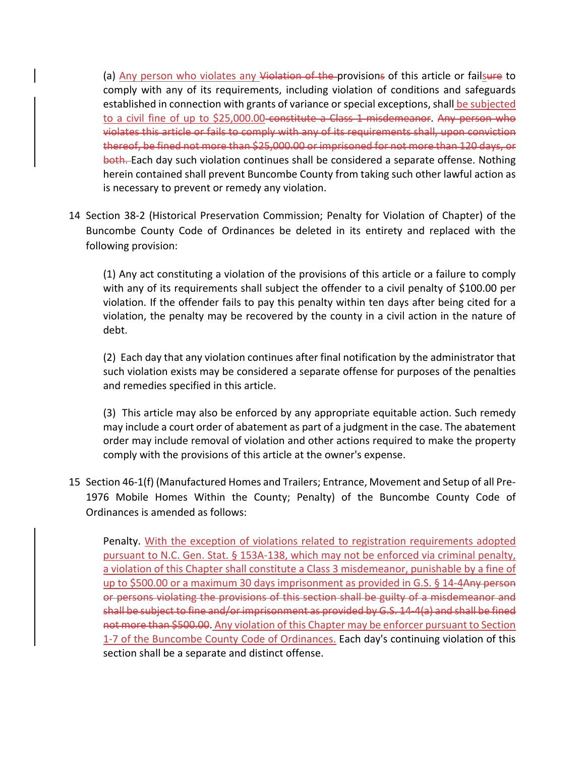(a) Any person who violates any Violation of the provisions of this article or failsure to comply with any of its requirements, including violation of conditions and safeguards established in connection with grants of variance or special exceptions, shall be subjected to a civil fine of up to \$25,000.00 constitute a Class 1 misdemeanor. Any person who violates this article or fails to comply with any of its requirements shall, upon conviction thereof, be fined not more than \$25,000.00 or imprisoned for not more than 120 days, or both. Each day such violation continues shall be considered a separate offense. Nothing herein contained shall prevent Buncombe County from taking such other lawful action as is necessary to prevent or remedy any violation.

14 Section 38‐2 (Historical Preservation Commission; Penalty for Violation of Chapter) of the Buncombe County Code of Ordinances be deleted in its entirety and replaced with the following provision:

(1) Any act constituting a violation of the provisions of this article or a failure to comply with any of its requirements shall subject the offender to a civil penalty of \$100.00 per violation. If the offender fails to pay this penalty within ten days after being cited for a violation, the penalty may be recovered by the county in a civil action in the nature of debt.

(2) Each day that any violation continues after final notification by the administrator that such violation exists may be considered a separate offense for purposes of the penalties and remedies specified in this article.

(3) This article may also be enforced by any appropriate equitable action. Such remedy may include a court order of abatement as part of a judgment in the case. The abatement order may include removal of violation and other actions required to make the property comply with the provisions of this article at the owner's expense.

15 Section 46‐1(f) (Manufactured Homes and Trailers; Entrance, Movement and Setup of all Pre‐ 1976 Mobile Homes Within the County; Penalty) of the Buncombe County Code of Ordinances is amended as follows:

Penalty. With the exception of violations related to registration requirements adopted pursuant to N.C. Gen. Stat. § 153A‐138, which may not be enforced via criminal penalty, a violation of this Chapter shall constitute a Class 3 misdemeanor, punishable by a fine of up to \$500.00 or a maximum 30 days imprisonment as provided in G.S. § 14-4Any person or persons violating the provisions of this section shall be guilty of a misdemeanor and shall be subject to fine and/or imprisonment as provided by G.S. 14‐4(a) and shall be fined not more than \$500.00. Any violation of this Chapter may be enforcer pursuant to Section 1‐7 of the Buncombe County Code of Ordinances. Each day's continuing violation of this section shall be a separate and distinct offense.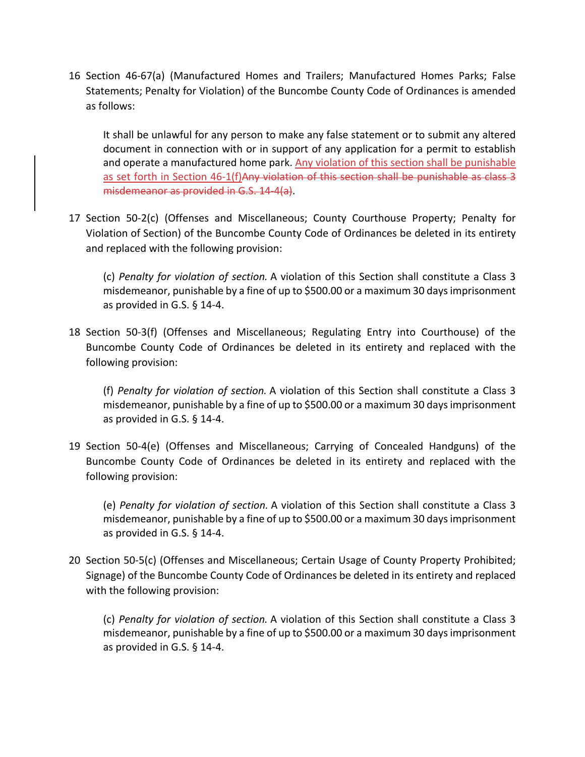16 Section 46‐67(a) (Manufactured Homes and Trailers; Manufactured Homes Parks; False Statements; Penalty for Violation) of the Buncombe County Code of Ordinances is amended as follows:

It shall be unlawful for any person to make any false statement or to submit any altered document in connection with or in support of any application for a permit to establish and operate a manufactured home park. Any violation of this section shall be punishable as set forth in Section 46-1(f)Any violation of this section shall be punishable as class 3 misdemeanor as provided in G.S. 14‐4(a).

17 Section 50‐2(c) (Offenses and Miscellaneous; County Courthouse Property; Penalty for Violation of Section) of the Buncombe County Code of Ordinances be deleted in its entirety and replaced with the following provision:

(c) *Penalty for violation of section.* A violation of this Section shall constitute a Class 3 misdemeanor, punishable by a fine of up to \$500.00 or a maximum 30 daysimprisonment as provided in G.S. § 14‐4.

18 Section 50‐3(f) (Offenses and Miscellaneous; Regulating Entry into Courthouse) of the Buncombe County Code of Ordinances be deleted in its entirety and replaced with the following provision:

(f) *Penalty for violation of section.* A violation of this Section shall constitute a Class 3 misdemeanor, punishable by a fine of up to \$500.00 or a maximum 30 daysimprisonment as provided in G.S. § 14‐4.

19 Section 50‐4(e) (Offenses and Miscellaneous; Carrying of Concealed Handguns) of the Buncombe County Code of Ordinances be deleted in its entirety and replaced with the following provision:

(e) *Penalty for violation of section.* A violation of this Section shall constitute a Class 3 misdemeanor, punishable by a fine of up to \$500.00 or a maximum 30 daysimprisonment as provided in G.S. § 14‐4.

20 Section 50‐5(c) (Offenses and Miscellaneous; Certain Usage of County Property Prohibited; Signage) of the Buncombe County Code of Ordinances be deleted in its entirety and replaced with the following provision:

(c) *Penalty for violation of section.* A violation of this Section shall constitute a Class 3 misdemeanor, punishable by a fine of up to \$500.00 or a maximum 30 daysimprisonment as provided in G.S. § 14‐4.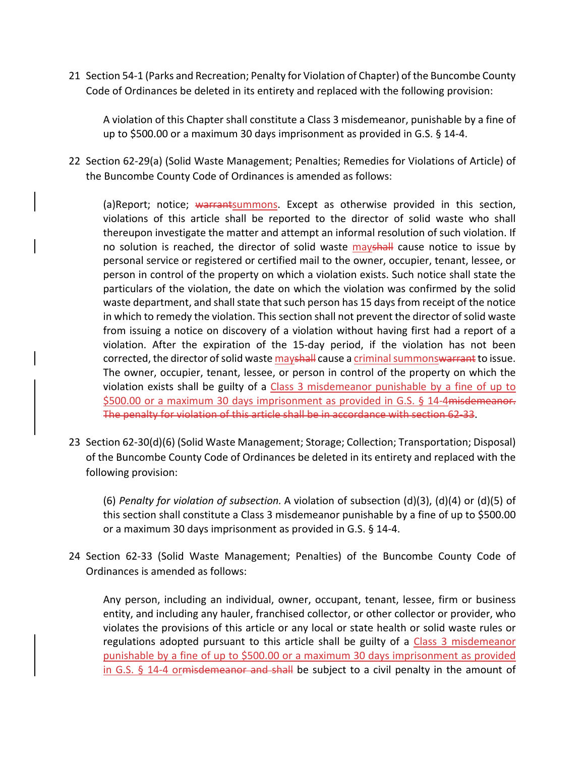21 Section 54‐1 (Parks and Recreation; Penalty for Violation of Chapter) of the Buncombe County Code of Ordinances be deleted in its entirety and replaced with the following provision:

A violation of this Chapter shall constitute a Class 3 misdemeanor, punishable by a fine of up to \$500.00 or a maximum 30 days imprisonment as provided in G.S. § 14‐4.

22 Section 62‐29(a) (Solid Waste Management; Penalties; Remedies for Violations of Article) of the Buncombe County Code of Ordinances is amended as follows:

(a)Report; notice; warrantsummons. Except as otherwise provided in this section, violations of this article shall be reported to the director of solid waste who shall thereupon investigate the matter and attempt an informal resolution of such violation. If no solution is reached, the director of solid waste mayshall cause notice to issue by personal service or registered or certified mail to the owner, occupier, tenant, lessee, or person in control of the property on which a violation exists. Such notice shall state the particulars of the violation, the date on which the violation was confirmed by the solid waste department, and shall state that such person has 15 days from receipt of the notice in which to remedy the violation. This section shall not prevent the director of solid waste from issuing a notice on discovery of a violation without having first had a report of a violation. After the expiration of the 15‐day period, if the violation has not been corrected, the director of solid waste mayshall cause a criminal summonswarrant to issue. The owner, occupier, tenant, lessee, or person in control of the property on which the violation exists shall be guilty of a Class 3 misdemeanor punishable by a fine of up to \$500.00 or a maximum 30 days imprisonment as provided in G.S. § 14-4 misdemeanor. The penalty for violation of this article shall be in accordance with section 62‐33.

23 Section 62‐30(d)(6) (Solid Waste Management; Storage; Collection; Transportation; Disposal) of the Buncombe County Code of Ordinances be deleted in its entirety and replaced with the following provision:

(6) *Penalty for violation of subsection.* A violation of subsection (d)(3), (d)(4) or (d)(5) of this section shall constitute a Class 3 misdemeanor punishable by a fine of up to \$500.00 or a maximum 30 days imprisonment as provided in G.S. § 14‐4.

24 Section 62‐33 (Solid Waste Management; Penalties) of the Buncombe County Code of Ordinances is amended as follows:

Any person, including an individual, owner, occupant, tenant, lessee, firm or business entity, and including any hauler, franchised collector, or other collector or provider, who violates the provisions of this article or any local or state health or solid waste rules or regulations adopted pursuant to this article shall be guilty of a Class 3 misdemeanor punishable by a fine of up to \$500.00 or a maximum 30 days imprisonment as provided in G.S. § 14-4 ormisdemeanor and shall be subject to a civil penalty in the amount of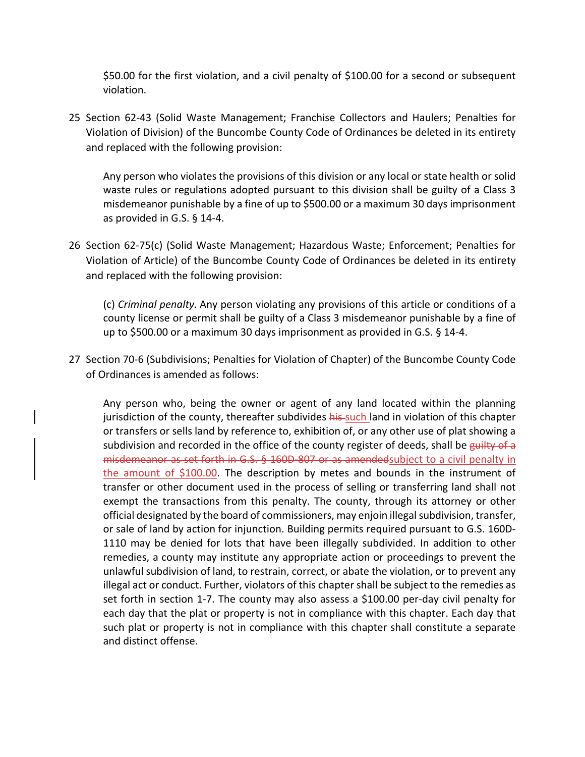\$50.00 for the first violation, and a civil penalty of \$100.00 for a second or subsequent violation.

25 Section 62‐43 (Solid Waste Management; Franchise Collectors and Haulers; Penalties for Violation of Division) of the Buncombe County Code of Ordinances be deleted in its entirety and replaced with the following provision:

Any person who violates the provisions of this division or any local or state health or solid waste rules or regulations adopted pursuant to this division shall be guilty of a Class 3 misdemeanor punishable by a fine of up to \$500.00 or a maximum 30 days imprisonment as provided in G.S. § 14‐4.

26 Section 62‐75(c) (Solid Waste Management; Hazardous Waste; Enforcement; Penalties for Violation of Article) of the Buncombe County Code of Ordinances be deleted in its entirety and replaced with the following provision:

(c) *Criminal penalty.* Any person violating any provisions of this article or conditions of a county license or permit shall be guilty of a Class 3 misdemeanor punishable by a fine of up to \$500.00 or a maximum 30 days imprisonment as provided in G.S. § 14‐4.

27 Section 70‐6 (Subdivisions; Penalties for Violation of Chapter) of the Buncombe County Code of Ordinances is amended as follows:

Any person who, being the owner or agent of any land located within the planning jurisdiction of the county, thereafter subdivides his such land in violation of this chapter or transfers or sells land by reference to, exhibition of, or any other use of plat showing a subdivision and recorded in the office of the county register of deeds, shall be guilty of a misdemeanor as set forth in G.S. § 160D 807 or as amended subject to a civil penalty in the amount of \$100.00. The description by metes and bounds in the instrument of transfer or other document used in the process of selling or transferring land shall not exempt the transactions from this penalty. The county, through its attorney or other official designated by the board of commissioners, may enjoin illegal subdivision, transfer, or sale of land by action for injunction. Building permits required pursuant to G.S. 160D‐ 1110 may be denied for lots that have been illegally subdivided. In addition to other remedies, a county may institute any appropriate action or proceedings to prevent the unlawful subdivision of land, to restrain, correct, or abate the violation, or to prevent any illegal act or conduct. Further, violators of this chapter shall be subject to the remedies as set forth in section 1-7. The county may also assess a \$100.00 per-day civil penalty for each day that the plat or property is not in compliance with this chapter. Each day that such plat or property is not in compliance with this chapter shall constitute a separate and distinct offense.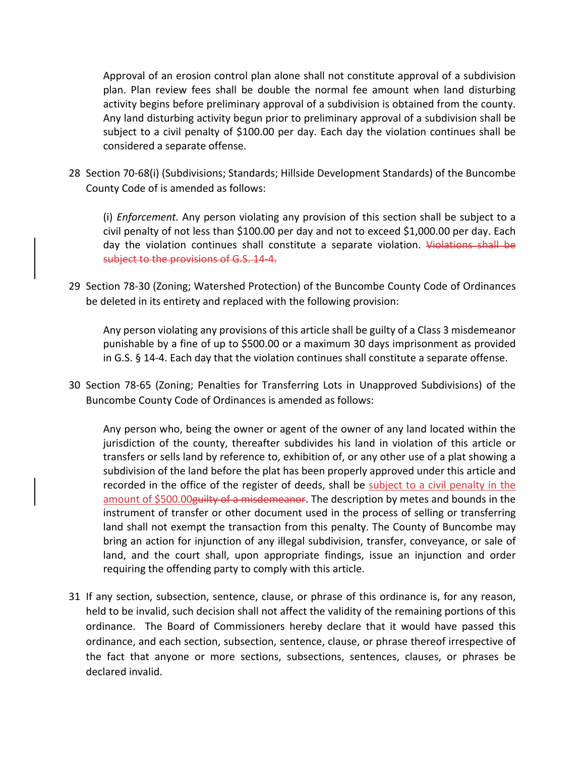Approval of an erosion control plan alone shall not constitute approval of a subdivision plan. Plan review fees shall be double the normal fee amount when land disturbing activity begins before preliminary approval of a subdivision is obtained from the county. Any land disturbing activity begun prior to preliminary approval of a subdivision shall be subject to a civil penalty of \$100.00 per day. Each day the violation continues shall be considered a separate offense.

28 Section 70‐68(i) (Subdivisions; Standards; Hillside Development Standards) of the Buncombe County Code of is amended as follows:

(i) *Enforcement.* Any person violating any provision of this section shall be subject to a civil penalty of not less than \$100.00 per day and not to exceed \$1,000.00 per day. Each day the violation continues shall constitute a separate violation. Violations shall be subject to the provisions of G.S. 14-4.

29 Section 78‐30 (Zoning; Watershed Protection) of the Buncombe County Code of Ordinances be deleted in its entirety and replaced with the following provision:

Any person violating any provisions of this article shall be guilty of a Class 3 misdemeanor punishable by a fine of up to \$500.00 or a maximum 30 days imprisonment as provided in G.S. § 14‐4. Each day that the violation continues shall constitute a separate offense.

30 Section 78‐65 (Zoning; Penalties for Transferring Lots in Unapproved Subdivisions) of the Buncombe County Code of Ordinances is amended as follows:

Any person who, being the owner or agent of the owner of any land located within the jurisdiction of the county, thereafter subdivides his land in violation of this article or transfers or sells land by reference to, exhibition of, or any other use of a plat showing a subdivision of the land before the plat has been properly approved under this article and recorded in the office of the register of deeds, shall be subject to a civil penalty in the amount of \$500.00 guilty of a misdemeanor. The description by metes and bounds in the instrument of transfer or other document used in the process of selling or transferring land shall not exempt the transaction from this penalty. The County of Buncombe may bring an action for injunction of any illegal subdivision, transfer, conveyance, or sale of land, and the court shall, upon appropriate findings, issue an injunction and order requiring the offending party to comply with this article.

31 If any section, subsection, sentence, clause, or phrase of this ordinance is, for any reason, held to be invalid, such decision shall not affect the validity of the remaining portions of this ordinance. The Board of Commissioners hereby declare that it would have passed this ordinance, and each section, subsection, sentence, clause, or phrase thereof irrespective of the fact that anyone or more sections, subsections, sentences, clauses, or phrases be declared invalid.